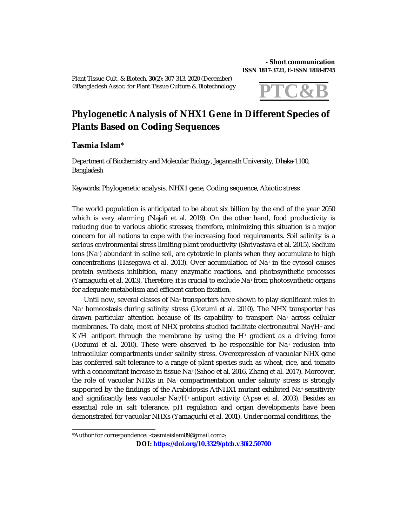Plant Tissue Cult. & Biotech. **30**(2): 307-313, 2020 (December) ©Bangladesh Assoc. for Plant Tissue Culture & Biotechnology

## **- Short communication ISSN 1817-3721, E-ISSN 1818-8745**



## **Phylogenetic Analysis of NHX1 Gene in Different Species of Plants Based on Coding Sequences**

## **Tasmia Islam\***

*Department of Biochemistry and Molecular Biology, Jagannath University, Dhaka-1100, Bangladesh*

*Keywords:* Phylogenetic analysis, NHX1 gene, Coding sequence, Abiotic stress

The world population is anticipated to be about six billion by the end of the year 2050 which is very alarming (Najafi et al. 2019). On the other hand, food productivity is reducing due to various abiotic stresses; therefore, minimizing this situation is a major concern for all nations to cope with the increasing food requirements. Soil salinity is a serious environmental stress limiting plant productivity (Shrivastava et al. 2015). Sodium ions ( $Na$ ) abundant in saline soil, are cytotoxic in plants when they accumulate to high concentrations (Hasegawa et al. 2013). Over accumulation of Na<sup>+</sup> in the cytosol causes protein synthesis inhibition, many enzymatic reactions, and photosynthetic processes (Yamaguchi et al. 2013). Therefore, it is crucial to exclude Na<sup>+</sup> from photosynthetic organs for adequate metabolism and efficient carbon fixation.

Until now, several classes of Na+ transporters have shown to play significant roles in Na<sup>+</sup> homeostasis during salinity stress (Uozumi et al. 2010). The NHX transporter has drawn particular attention because of its capability to transport Na<sup>+</sup> across cellular membranes. To date, most of NHX proteins studied facilitate electroneutral Na+/H+ and  $K^*/H^+$  antiport through the membrane by using the  $H^+$  gradient as a driving force (Uozumi et al. 2010). These were observed to be responsible for Na<sup>+</sup> reclusion into intracellular compartments under salinity stress. Overexpression of vacuolar NHX gene has conferred salt tolerance to a range of plant species such as wheat, rice, and tomato with a concomitant increase in tissue Na<sup>+</sup> (Sahoo et al. 2016, Zhang et al. 2017). Moreover, the role of vacuolar NHXs in Na+ compartmentation under salinity stress is strongly supported by the findings of the Arabidopsis AtNHX1 mutant exhibited Na<sup>+</sup> sensitivity and significantly less vacuolar Na+/H+ antiport activity (Apse et al. 2003). Besides an essential role in salt tolerance, pH regulation and organ developments have been demonstrated for vacuolar NHXs (Yamaguchi et al. 2001). Under normal conditions, the

**DOI: <https://doi.org/10.3329/ptcb.v30i2.50700>**

<sup>\*</sup>Author for correspondence: <[tasmiaislam89@gmail.com](mailto:tasmiaislam89@gmail.com)>.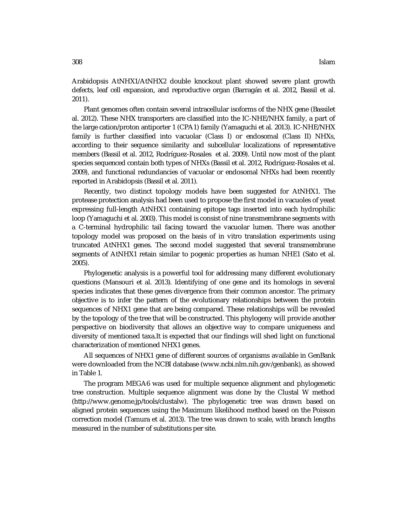Arabidopsis AtNHX1/AtNHX2 double knockout plant showed severe plant growth defects, leaf cell expansion, and reproductive organ (Barragán et al. 2012, Bassil et al. 2011).

Plant genomes often contain several intracellular isoforms of the NHX gene (Bassilet al. 2012). These NHX transporters are classified into the IC-NHE/NHX family, a part of the large cation/proton antiporter 1 (CPA1) family (Yamaguchi et al. 2013). IC-NHE/NHX family is further classified into vacuolar (Class I) or endosomal (Class II) NHXs, according to their sequence similarity and subcellular localizations of representative members (Bassil et al. 2012, Rodríguez-Rosales et al. 2009). Until now most of the plant species sequenced contain both types of NHXs (Bassil et al. 2012, Rodríguez-Rosales et al. 2009), and functional redundancies of vacuolar or endosomal NHXs had been recently reported in Arabidopsis (Bassil et al. 2011).

Recently, two distinct topology models have been suggested for AtNHX1. The protease protection analysis had been used to propose the first model in vacuoles of yeast expressing full-length AtNHX1 containing epitope tags inserted into each hydrophilic loop (Yamaguchi et al. 2003). This model is consist of nine transmembrane segments with a C-terminal hydrophilic tail facing toward the vacuolar lumen. There was another topology model was proposed on the basis of in vitro translation experiments using truncated AtNHX1 genes. The second model suggested that several transmembrane segments of AtNHX1 retain similar to pogenic properties as human NHE1 (Sato et al. 2005).

Phylogenetic analysis is a powerful tool for addressing many different evolutionary questions (Mansouri et al. 2013). Identifying of one gene and its homologs in several species indicates that these genes divergence from their common ancestor. The primary objective is to infer the pattern of the evolutionary relationships between the protein sequences of NHX1 gene that are being compared. These relationships will be revealed by the topology of the tree that will be constructed. This phylogeny will provide another perspective on biodiversity that allows an objective way to compare uniqueness and diversity of mentioned taxa.It is expected that our findings will shed light on functional characterization of mentioned NHX1 genes.

All sequences of NHX1 gene of different sources of organisms available in GenBank were downloaded from the NCBI database [\(www.ncbi.nlm.nih.gov/genbank\),](http://www.ncbi.nlm.nih.gov/genbank),) as showed in Table 1.

The program MEGA6 was used for multiple sequence alignment and phylogenetic tree construction. Multiple sequence alignment was done by the Clustal W method [\(http://www.genome.jp/tools/clustalw\).](http://www.genome.jp/tools/clustalw).) The phylogenetic tree was drawn based on aligned protein sequences using the Maximum likelihood method based on the Poisson correction model (Tamura et al. 2013). The tree was drawn to scale, with branch lengths measured in the number of substitutions per site.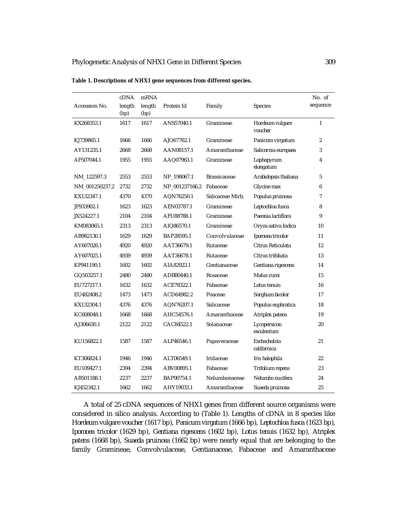|                | cDNA           | <b>mRNA</b>    |                |                     |                             | No. of         |
|----------------|----------------|----------------|----------------|---------------------|-----------------------------|----------------|
| Accession No.  | length<br>(bp) | length<br>(bp) | Protein Id     | Family              | Species                     | sequence       |
| KX268353.1     | 1617           | 1617           | ANS57040.1     | Gramineae           | Hordeum vulgare<br>voucher  | 1              |
| KJ739865.1     | 1666           | 1666           | AJO67762.1     | Gramineae           | Panicum virgatum            | $\overline{2}$ |
| AY131235.1     | 2668           | 2668           | AAN08157.1     | Amaranthaceae       | Salicornia europaea         | 3              |
| AF507044.1     | 1955           | 1955           | AAQ07963.1     | Gramineae           | Lophopyrum<br>elongatum     | 4              |
| NM_122597.3    | 2553           | 2553           | NP_198067.1    | <b>Brassicaceae</b> | Arabidopsis thaliana        | 5              |
| NM_001250237.2 | 2732           | 2732           | NP_001237166.2 | Fabaceae            | Glycine max                 | 6              |
| KX132347.1     | 4370           | 4370           | AQN76250.1     | Salicaceae Mirb.    | Populus pruinosa            | 7              |
| JF933902.1     | 1623           | 1623           | AEN03787.1     | Gramineae           | Leptochloa fusca            | 8              |
| JX524227.1     | 2104           | 2104           | AFU88788.1     | Gramineae           | Paeonia lactiflora          | 9              |
| KM083065.1     | 2313           | 2313           | AIQ86570.1     | Gramineae           | Oryza sativa Indica         | 10             |
| AB982130.1     | 1629           | 1629           | BAP28595.1     | Convolvulaceae      | Ipomoea tricolor            | 11             |
| AY607026.1     | 4920           | 4920           | AAT36679.1     | Rutaceae            | Citrus Reticulata           | 12             |
| AY607025.1     | 4939           | 4939           | AAT36678.1     | Rutaceae            | Citrus trifoliata           | 13             |
| KF941190.1     | 1602           | 1602           | AIA82923.1     | Gentianaceae        | Gentiana rigescens          | 14             |
| GQ503257.1     | 2480           | 2480           | ADB80440.1     | Rosaceae            | Malus zumi                  | 15             |
| EU727217.1     | 1632           | 1632           | ACE78322.1     | Fabaceae            | Lotus tenuis                | 16             |
| EU482408.2     | 1473           | 1473           | ACD64982.2     | Poaceae             | Sorghum bicolor             | 17             |
| KX132304.1     | 4376           | 4376           | AQN76207.1     | Salicaceae          | Populus euphratica          | 18             |
| KC608048.1     | 1668           | 1668           | AHC54576.1     | Amaranthaceae       | Atriplex patens             | 19             |
| AJ306630.1     | 2122           | 2122           | CAC84522.1     | Solanaceae          | Lycopersicon<br>esculentum  | 20             |
| KU156822.1     | 1587           | 1587           | ALP46546.1     | Papaveraceae        | Eschscholzia<br>californica | 21             |
| KT306824.1     | 1946           | 1946           | ALT06549.1     | Iridaceae           | Iris halophila              | 22             |
| EU109427.1     | 2394           | 2394           | ABV00895.1     | Fabaceae            | Trifolium repens            | 23             |
| AB501188.1     | 2237           | 2237           | BAP90754.1     | Nelumbonaceae       | Nelumbo nucifera            | 24             |
| KJ452342.1     | 1662           | 1662           | AHY19033.1     | Amaranthaceae       | Suaeda pruinosa             | 25             |

**Table 1. Descriptions of NHX1 gene sequences from different species.**

A total of 25 cDNA sequences of NHX1 genes from different source organisms were considered in silico analysis. According to (Table 1). Lengths of cDNA in 8 species like *Hordeum vulgare voucher* (1617 bp), *Panicum virgatum* (1666 bp), *Leptochloa fusca* (1623 bp), *Ipomoea tricolor* (1629 bp*), Gentiana rigescens* (1602 bp), *Lotus tenuis* (1632 bp), *Atriplex patens* (1668 bp), *Suaeda pruinosa* (1662 bp) were nearly equal that are belonging to the family Gramineae, Convolvulaceae, Gentianaceae, Fabaceae and Amaranthaceae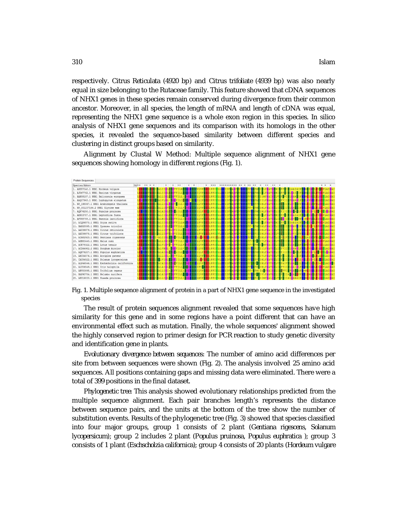respectively. *Citrus Reticulata* (4920 bp) and *Citrus trifoliate* (4939 bp) was also nearly equal in size belonging to the Rutaceae family. This feature showed that cDNA sequences of NHX1 genes in these species remain conserved during divergence from their common ancestor. Moreover, in all species, the length of mRNA and length of cDNA was equal, representing the NHX1 gene sequence is a whole exon region in this species. In silico analysis of NHX1 gene sequences and its comparison with its homologs in the other species, it revealed the sequence-based similarity between different species and clustering in distinct groups based on similarity.

Alignment by Clustal W Method: Multiple sequence alignment of NHX1 gene sequences showing homology in different regions (Fig. 1).



Fig. 1. Multiple sequence alignment of protein in a part of NHX1 gene sequence in the investigated species

The result of protein sequences alignment revealed that some sequences have high similarity for this gene and in some regions have a point different that can have an environmental effect such as mutation. Finally, the whole sequences' alignment showed the highly conserved region to primer design for PCR reaction to study genetic diversity and identification gene in plants.

*Evolutionary divergence between sequences:* The number of amino acid differences per site from between sequences were shown (Fig. 2). The analysis involved 25 amino acid sequences. All positions containing gaps and missing data were eliminated. There were a total of 399 positions in the final dataset.

*Phylogenetic tree:* This analysis showed evolutionary relationships predicted from the multiple sequence alignment. Each pair branches length's represents the distance between sequence pairs, and the units at the bottom of the tree show the number of substitution events. Results of the phylogenetic tree (Fig. 3) showed that species classified into four major groups, group 1 consists of 2 plant (*Gentiana rigescens*, *Solanum lycopersicum*); group 2 includes 2 plant (*Populus pruinosa, Populus euphratica* ); group 3 consists of 1 plant (*Eschscholzia californica*); group 4 consists of 20 plants (*Hordeum vulgare*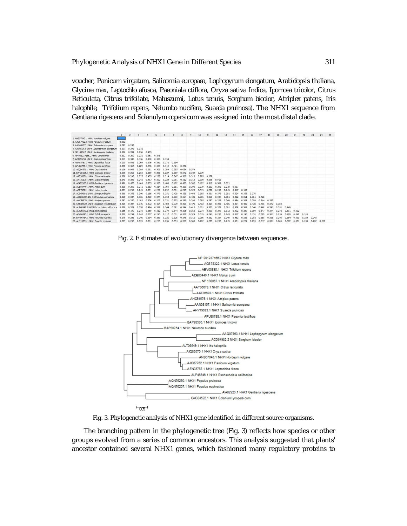Phylogenetic Analysis of NHX1 Gene in Different Species 311

*voucher*, *Panicum virgatum*, *Salicornia europaea*, *Lophopyrum elongatum*, *Arabidopsis thaliana*, *Glycine max*, *Leptochlo afusca*, *Paeoniala ctiflora*, *Oryza sativa Indica*, *Ipomoea tricolor*, *Citrus Reticulata*, *Citrus trifoliate*, *Maluszumi*, *Lotus tenuis*, *Sorghum bicolor*, *Atriplex patens*, *Iris halophile*, *Trifolium repens*, *Nelumbo nucifera*, *Suaeda pruinosa*). The NHX1 sequence from *Gentiana rigescens* and *Solanulym copersicum* was assigned into the most distal clade.

|                                              | $\mathbf{1}$ | $\overline{2}$ | 3     | 4           | $\overline{\mathbf{5}}$ | 6     | $\overline{7}$ | 8     | 9     | 10    | 11    | 12    | 13    | 14    | 15    | 16    | 17    | 18    | 19    | 20    | 21    | 22    | 23    | 24              | 25 |
|----------------------------------------------|--------------|----------------|-------|-------------|-------------------------|-------|----------------|-------|-------|-------|-------|-------|-------|-------|-------|-------|-------|-------|-------|-------|-------|-------|-------|-----------------|----|
| 1. ANS57040.1 NHX1 Hordeum vulgare           |              |                |       |             |                         |       |                |       |       |       |       |       |       |       |       |       |       |       |       |       |       |       |       |                 |    |
| 2. AJO67762.1 NHX1 Panicum virgatum          | 0.092        |                |       |             |                         |       |                |       |       |       |       |       |       |       |       |       |       |       |       |       |       |       |       |                 |    |
| 3. AAN08157.1 NHX1 Salicornia europaea       |              | 0.285 0.256    |       |             |                         |       |                |       |       |       |       |       |       |       |       |       |       |       |       |       |       |       |       |                 |    |
| 4. AAO07963.1 NHX1 Lophopyrum elongatum      | 0.391        | 0.376          | 0.372 |             |                         |       |                |       |       |       |       |       |       |       |       |       |       |       |       |       |       |       |       |                 |    |
| 5. NP 198067.1 NHX1 Arabidopsis thaliana     | 0.326        | 0.289          | 0.236 | 0.405       |                         |       |                |       |       |       |       |       |       |       |       |       |       |       |       |       |       |       |       |                 |    |
| 6. NP 001237166.2 NHX1 Glycine max           | 0.302        | 0.262          | 0.221 | 0.361 0.243 |                         |       |                |       |       |       |       |       |       |       |       |       |       |       |       |       |       |       |       |                 |    |
| 7. AQN76250.1 NHX1 Populus pruinosa          | 0.369        | 0.344          | 0.336 | 0,480       | 0.344 0.354             |       |                |       |       |       |       |       |       |       |       |       |       |       |       |       |       |       |       |                 |    |
| 8. AEN03787.1 NHX1 Leptochloa fusca          | 0.100        | 0.036          | 0.269 | 0.376       | 0.292                   | 0.272 | 0.354          |       |       |       |       |       |       |       |       |       |       |       |       |       |       |       |       |                 |    |
| 9. AFU88788.1 NHX1 Paeonia lactifiora        | 0.398        | 0.365          | 0.289 | 0.496       | 0.329                   | 0.319 | 0.421          | 0.372 |       |       |       |       |       |       |       |       |       |       |       |       |       |       |       |                 |    |
| 10. AIO86570. 1 NHX 1 Oryza sativa           | 0.106        | 0.067          | 0.289 | 0.391       | 0.305                   | 0.289 | 0.365          | 0.054 | 0.379 |       |       |       |       |       |       |       |       |       |       |       |       |       |       |                 |    |
| 11. BAP28595.1 NHX1 Ipomoea tricolor         | 0.295        | 0.256          | 0.252 | 0.369       | 0.285                   | 0.227 | 0.369          | 0.272 | 0.344 | 0.279 |       |       |       |       |       |       |       |       |       |       |       |       |       |                 |    |
| 12. AAT36679, 1 NHX 1 Citrus reticulata      | 0.329        | 0.295          | 0.227 | 0.405       | 0.236                   | 0.214 | 0.347          | 0,302 | 0.316 | 0.295 | 0.279 |       |       |       |       |       |       |       |       |       |       |       |       |                 |    |
| 13. AAT36678, 1 NHX 1 Citrus trifoliata      | 0.340        | 0.305          | 0.243 | 0.417       | 0.252                   | 0.224 | 0.361          | 0.312 | 0.319 | 0.309 | 0.295 | 0.013 |       |       |       |       |       |       |       |       |       |       |       |                 |    |
| 14. AIA82923.1 NHX1 Gentiana rigescens       | 0.496        | 0.476          | 0.464 | 0.555       | 0.525                   | 0.488 | 0.492          | 0.480 | 0.582 | 0.492 | 0.512 | 0.504 | 0.521 |       |       |       |       |       |       |       |       |       |       |                 |    |
| 15. ADB80440, 1 NHX 1 Malus zumi             | 0.305        | 0.269          | 0.211 | 0.383       | 0.214                   | 0.166 | 0.351          | 0.269 | 0.305 | 0.279 | 0.233 | 0.202 | 0.218 | 0.517 |       |       |       |       |       |       |       |       |       |                 |    |
| 16. ACE78322, 1 NHX 1 Lotus tenuis           | 0.323        | 0.292          | 0.749 | 0.391       | 0.259                   | 0.092 | 0.361          | 0.295 | 0.323 | 0.319 | 0.252 | 0.240 | 0.249 | 0.517 | 0.187 |       |       |       |       |       |       |       |       |                 |    |
| 17. ACD64982.2 NHX1 Sorghum bicolor          | 0.369        | 0.358          | 0.340 | 0.166       | 0.379                   | 0.351 | 0.428          | 0.358 | 0.468 | 0.365 | 0.361 | 0.376 | 0.391 | 0.534 | 0.358 | 0.376 |       |       |       |       |       |       |       |                 |    |
| 18. AON76207.1 NHX1 Populus euphratica       | 0.369        | 0.344          | 0.336 | 0.480       | 0.344                   | 0.354 | 0.000          | 0.354 | 0.421 | 0.365 | 0.369 | 0.347 | 0.361 | 0.492 | 0.351 | 0.361 | 0.428 |       |       |       |       |       |       |                 |    |
| 19. AHC54576. 1 NHX 1 Atriplex patens        | 0.282        | 0.252          | 0.103 | 0.376       | 0.227                   | 0.221 | 0.333          | 0.269 | 0.299 | 0.285 | 0.252 | 0.233 | 0.249 | 0.484 | 0.208 | 0.259 | 0.344 | 0.333 |       |       |       |       |       |                 |    |
| 20. CAC84522. 1 NHX 1 Solanum lycopersicum   | 0.405        | 0.394          | 0.376 | 0.472       | 0.424                   | 0,402 | 0.379          | 0.391 | 0.472 | 0.402 | 0.421 | 0.398 | 0.405 | 0.464 | 0.409 | 0.428 | 0.456 | 0.379 | 0.369 |       |       |       |       |                 |    |
| 21. ALP46546.1 NHX1 Eschscholzia californica | 0.358        | 0.329          | 0.358 | 0.484       | 0.358                   | 0.344 | 0.391          | 0.344 | 0.413 | 0.351 | 0.372 | 0.372 | 0.391 | 0.529 | 0.361 | 0.340 | 0.448 | 0.391 | 0.351 | 0.440 |       |       |       |                 |    |
| 22. ALT06549.1 NHX1 Iris halophila           | 0.256        | 0.199          | 0.275 | 0.369       | 0.312                   | 0.279 | 0.344          | 0.205 | 0.365 | 0.214 | 0.309 | 0.299 | 0.312 | 0.492 | 0.289 | 0.309 | 0.347 | 0.344 | 0.272 | 0.391 | 0.312 |       |       |                 |    |
| 23. ABV00895. 1 NHX 1 Trifolium repens       | 0.329        | 0.299          | 0.243 | 0.387       | 0.243                   | 0.117 | 0.361          | 0.302 | 0.329 | 0.319 | 0.246 | 0.230 | 0.243 | 0.517 | 0.190 | 0.131 | 0.379 | 0.361 | 0.259 | 0.428 | 0.347 | 0.316 |       |                 |    |
| 24. BAP90754.1 NHX1 Nelumbo nucifera         | 0.279        | 0.243          | 0.246 | 0.394       | 0.289                   | 0.221 | 0.326          | 0.246 | 0.312 | 0.256 | 0.252 | 0.227 | 0.240 | 0.452 | 0.233 | 0.252 | 0.365 | 0.326 | 0.246 | 0.354 | 0.333 | 0.259 | 0.243 |                 |    |
| 25. AHY 19033. 1 NHX 1 Suaeda pruinosa       | 0.289        | 0.256          | 0.059 | 0.361       | 0.240                   | 0.236 | 0.354          | 0.269 | 0.305 | 0.282 | 0.259 | 0.233 | 0.249 | 0.484 | 0.221 | 0.259 | 0.347 | 0.354 | 0.089 | 0.372 | 0.351 | 0.259 |       | $0.262$ $0.240$ |    |

Fig. 2. E stimates of evolutionary divergence between sequences.



Fig. 3. Phylogenetic analysis of NHX1 gene identified in different source organisms.

The branching pattern in the phylogenetic tree (Fig. 3) reflects how species or other groups evolved from a series of common ancestors. This analysis suggested that plants' ancestor contained several NHX1 genes, which fashioned many regulatory proteins to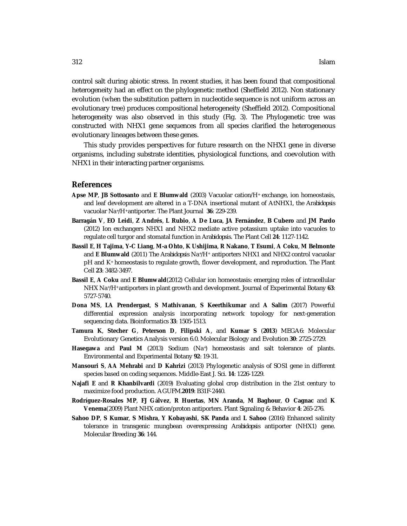control salt during abiotic stress. In recent studies, it has been found that compositional heterogeneity had an effect on the phylogenetic method (Sheffield 2012). Non stationary evolution (when the substitution pattern in nucleotide sequence is not uniform across an evolutionary tree) produces compositional heterogeneity (Sheffield 2012). Compositional heterogeneity was also observed in this study (Fig. 3). The Phylogenetic tree was constructed with NHX1 gene sequences from all species clarified the heterogeneous evolutionary lineages between these genes.

This study provides perspectives for future research on the NHX1 gene in diverse organisms, including substrate identities, physiological functions, and coevolution with NHX1 in their interacting partner organisms.

## **References**

- **Apse MP**, **JB Sottosanto** and **E Blumwald** (2003) Vacuolar cation/H<sup>+</sup> exchange, ion homeostasis, and leaf development are altered in a T‐DNA insertional mutant of AtNHX1, the *Arabidopsis* vacuolar Na<sup>+</sup> /H+ antiporter. The Plant Journal **36**: 229-239.
- **Barragán V**, **EO Leidi**, **Z Andrés**, **L Rubio**, **A De Luca**, **JA Fernández**, **B Cubero** and **JM Pardo** (2012) Ion exchangers NHX1 and NHX2 mediate active potassium uptake into vacuoles to regulate cell turgor and stomatal function in *Arabidopsis*. The Plant Cell **24**: 1127-1142.
- **Bassil E**, **H Tajima**, **Y-C Liang**, **M-a Ohto**, **K Ushijima**, **R Nakano**, **T Esumi**, **A Coku**, **M Belmonte** and **E Blumwald** (2011) The *Arabidopsis* Na+/H+ antiporters NHX1 and NHX2 control vacuolar pH and K<sup>+</sup> homeostasis to regulate growth, flower development, and reproduction. The Plant Cell **23**: 3482-3497.
- **Bassil E**, **A Coku** and **E Blumwald**(2012) Cellular ion homeostasis: emerging roles of intracellular NHX Na<sup>+</sup> /H+ antiporters in plant growth and development. Journal of Experimental Botany **63**: 5727-5740.
- **Dona MS**, **LA Prendergast**, **S Mathivanan**, **S Keerthikumar** and **A Salim** (2017) Powerful differential expression analysis incorporating network topology for next-generation sequencing data. Bioinformatics **33**: 1505-1513.
- **Tamura K**, **Stecher G**, **Peterson D**, **Filipski A**, and **Kumar S** (**2013**) MEGA6: Molecular Evolutionary Genetics Analysis version 6.0. Molecular Biology and Evolution **30**: 2725-2729.
- **Hasegawa** and **Paul M** (2013) Sodium (Na<sup>+</sup> ) homeostasis and salt tolerance of plants. Environmental and Experimental Botany **92**: 19-31.
- **Mansouri S**, **AA Mehrabi** and **D Kahrizi** (2013) Phylogenetic analysis of SOS1 gene in different species based on coding sequences. Middle-East J. Sci. **14**: 1226-1229.
- **Najafi E** and **R Khanbilvardi** (2019) Evaluating global crop distribution in the 21st century to maximize food production. AGUFM.**2019**: B31F-2440.
- **Rodríguez-Rosales MP**, **FJ Gálvez**, **R Huertas**, **MN Aranda**, **M Baghour**, **O Cagnac** and **K Venema**(2009) Plant NHX cation/proton antiporters. Plant Signaling & Behavior **4**: 265-276.
- **Sahoo DP**, **S Kumar**, **S Mishra**, **Y Kobayashi**, **SK Panda** and **L Sahoo** (2016) Enhanced salinity tolerance in transgenic mungbean overexpressing *Arabidopsis* antiporter (NHX1) gene. Molecular Breeding **36**: 144.